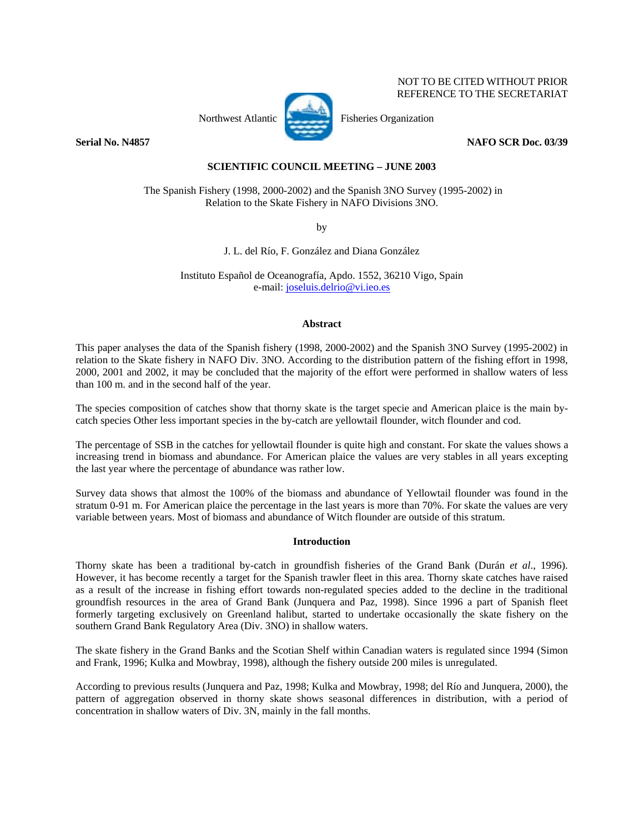

NOT TO BE CITED WITHOUT PRIOR REFERENCE TO THE SECRETARIAT

**Serial No. N4857** NAFO SCR Doc. 03/39

# **SCIENTIFIC COUNCIL MEETING – JUNE 2003**

 The Spanish Fishery (1998, 2000-2002) and the Spanish 3NO Survey (1995-2002) in Relation to the Skate Fishery in NAFO Divisions 3NO.

by

J. L. del Río, F. González and Diana González

Instituto Español de Oceanografía, Apdo. 1552, 36210 Vigo, Spain e-mail: joseluis.delrio@vi.ieo.es

## **Abstract**

This paper analyses the data of the Spanish fishery (1998, 2000-2002) and the Spanish 3NO Survey (1995-2002) in relation to the Skate fishery in NAFO Div. 3NO. According to the distribution pattern of the fishing effort in 1998, 2000, 2001 and 2002, it may be concluded that the majority of the effort were performed in shallow waters of less than 100 m. and in the second half of the year.

The species composition of catches show that thorny skate is the target specie and American plaice is the main bycatch species Other less important species in the by-catch are yellowtail flounder, witch flounder and cod.

The percentage of SSB in the catches for yellowtail flounder is quite high and constant. For skate the values shows a increasing trend in biomass and abundance. For American plaice the values are very stables in all years excepting the last year where the percentage of abundance was rather low.

Survey data shows that almost the 100% of the biomass and abundance of Yellowtail flounder was found in the stratum 0-91 m. For American plaice the percentage in the last years is more than 70%. For skate the values are very variable between years. Most of biomass and abundance of Witch flounder are outside of this stratum.

# **Introduction**

Thorny skate has been a traditional by-catch in groundfish fisheries of the Grand Bank (Durán *et al*., 1996). However, it has become recently a target for the Spanish trawler fleet in this area. Thorny skate catches have raised as a result of the increase in fishing effort towards non-regulated species added to the decline in the traditional groundfish resources in the area of Grand Bank (Junquera and Paz, 1998). Since 1996 a part of Spanish fleet formerly targeting exclusively on Greenland halibut, started to undertake occasionally the skate fishery on the southern Grand Bank Regulatory Area (Div. 3NO) in shallow waters.

The skate fishery in the Grand Banks and the Scotian Shelf within Canadian waters is regulated since 1994 (Simon and Frank, 1996; Kulka and Mowbray, 1998), although the fishery outside 200 miles is unregulated.

According to previous results (Junquera and Paz, 1998; Kulka and Mowbray, 1998; del Río and Junquera, 2000), the pattern of aggregation observed in thorny skate shows seasonal differences in distribution, with a period of concentration in shallow waters of Div. 3N, mainly in the fall months.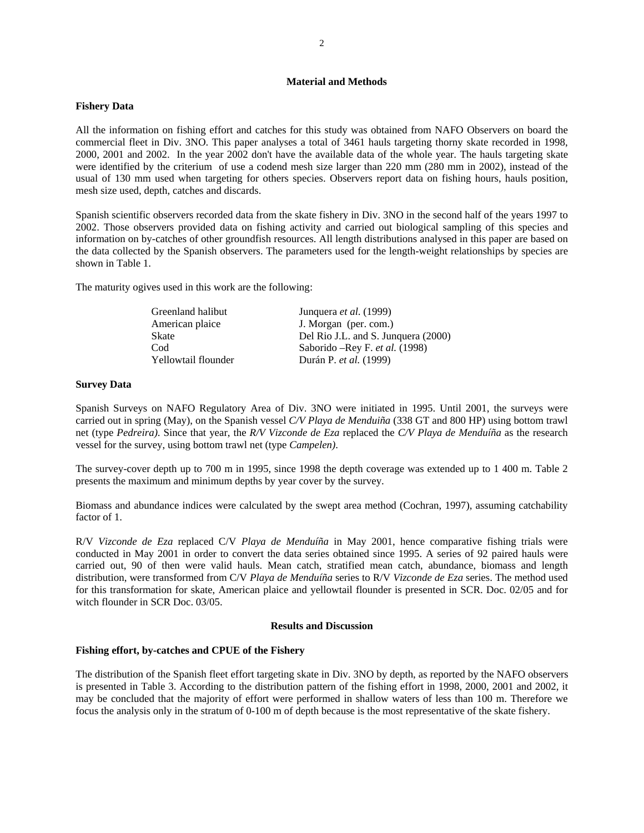## **Material and Methods**

#### **Fishery Data**

All the information on fishing effort and catches for this study was obtained from NAFO Observers on board the commercial fleet in Div. 3NO. This paper analyses a total of 3461 hauls targeting thorny skate recorded in 1998, 2000, 2001 and 2002. In the year 2002 don't have the available data of the whole year. The hauls targeting skate were identified by the criterium of use a codend mesh size larger than 220 mm (280 mm in 2002), instead of the usual of 130 mm used when targeting for others species. Observers report data on fishing hours, hauls position, mesh size used, depth, catches and discards.

Spanish scientific observers recorded data from the skate fishery in Div. 3NO in the second half of the years 1997 to 2002. Those observers provided data on fishing activity and carried out biological sampling of this species and information on by-catches of other groundfish resources. All length distributions analysed in this paper are based on the data collected by the Spanish observers. The parameters used for the length-weight relationships by species are shown in Table 1.

The maturity ogives used in this work are the following:

| Greenland halibut   | Junquera <i>et al.</i> (1999)       |
|---------------------|-------------------------------------|
| American plaice     | J. Morgan (per. com.)               |
| <b>Skate</b>        | Del Rio J.L. and S. Junguera (2000) |
| Cod                 | Saborido – Rey F. et al. (1998)     |
| Yellowtail flounder | Durán P. et al. (1999)              |

#### **Survey Data**

Spanish Surveys on NAFO Regulatory Area of Div. 3NO were initiated in 1995. Until 2001, the surveys were carried out in spring (May), on the Spanish vessel *C/V Playa de Menduiña* (338 GT and 800 HP) using bottom trawl net (type *Pedreira)*. Since that year, the *R/V Vizconde de Eza* replaced the *C/V Playa de Menduíña* as the research vessel for the survey, using bottom trawl net (type *Campelen)*.

The survey-cover depth up to 700 m in 1995, since 1998 the depth coverage was extended up to 1 400 m. Table 2 presents the maximum and minimum depths by year cover by the survey.

Biomass and abundance indices were calculated by the swept area method (Cochran, 1997), assuming catchability factor of 1.

R/V *Vizconde de Eza* replaced C/V *Playa de Menduíña* in May 2001, hence comparative fishing trials were conducted in May 2001 in order to convert the data series obtained since 1995. A series of 92 paired hauls were carried out, 90 of then were valid hauls. Mean catch, stratified mean catch, abundance, biomass and length distribution, were transformed from C/V *Playa de Menduíña* series to R/V *Vizconde de Eza* series. The method used for this transformation for skate, American plaice and yellowtail flounder is presented in SCR. Doc. 02/05 and for witch flounder in SCR Doc. 03/05.

#### **Results and Discussion**

### **Fishing effort, by-catches and CPUE of the Fishery**

The distribution of the Spanish fleet effort targeting skate in Div. 3NO by depth, as reported by the NAFO observers is presented in Table 3. According to the distribution pattern of the fishing effort in 1998, 2000, 2001 and 2002, it may be concluded that the majority of effort were performed in shallow waters of less than 100 m. Therefore we focus the analysis only in the stratum of 0-100 m of depth because is the most representative of the skate fishery.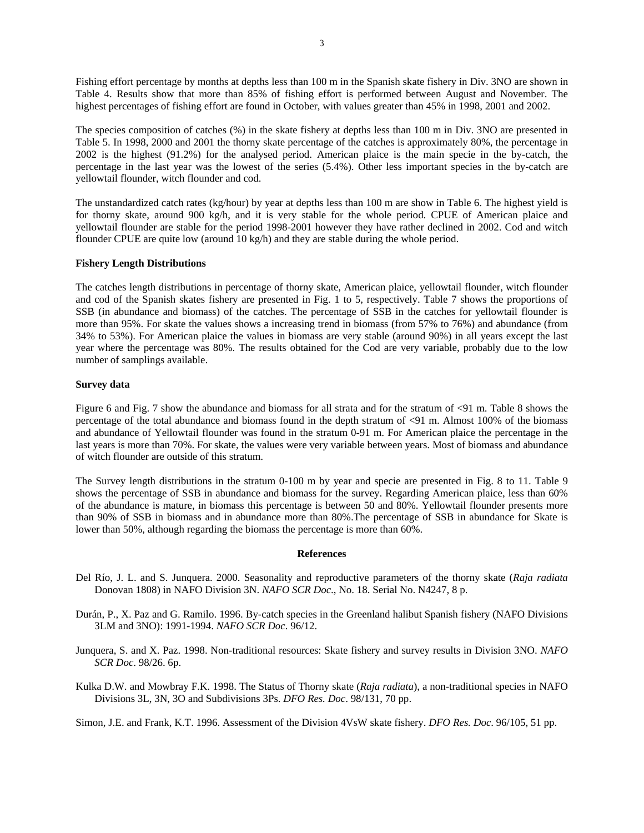Fishing effort percentage by months at depths less than 100 m in the Spanish skate fishery in Div. 3NO are shown in Table 4. Results show that more than 85% of fishing effort is performed between August and November. The highest percentages of fishing effort are found in October, with values greater than 45% in 1998, 2001 and 2002.

The species composition of catches (%) in the skate fishery at depths less than 100 m in Div. 3NO are presented in Table 5. In 1998, 2000 and 2001 the thorny skate percentage of the catches is approximately 80%, the percentage in 2002 is the highest (91.2%) for the analysed period. American plaice is the main specie in the by-catch, the percentage in the last year was the lowest of the series (5.4%). Other less important species in the by-catch are yellowtail flounder, witch flounder and cod.

The unstandardized catch rates (kg/hour) by year at depths less than 100 m are show in Table 6. The highest yield is for thorny skate, around 900 kg/h, and it is very stable for the whole period. CPUE of American plaice and yellowtail flounder are stable for the period 1998-2001 however they have rather declined in 2002. Cod and witch flounder CPUE are quite low (around 10 kg/h) and they are stable during the whole period.

### **Fishery Length Distributions**

The catches length distributions in percentage of thorny skate, American plaice, yellowtail flounder, witch flounder and cod of the Spanish skates fishery are presented in Fig. 1 to 5, respectively. Table 7 shows the proportions of SSB (in abundance and biomass) of the catches. The percentage of SSB in the catches for yellowtail flounder is more than 95%. For skate the values shows a increasing trend in biomass (from 57% to 76%) and abundance (from 34% to 53%). For American plaice the values in biomass are very stable (around 90%) in all years except the last year where the percentage was 80%. The results obtained for the Cod are very variable, probably due to the low number of samplings available.

### **Survey data**

Figure 6 and Fig. 7 show the abundance and biomass for all strata and for the stratum of <91 m. Table 8 shows the percentage of the total abundance and biomass found in the depth stratum of <91 m. Almost 100% of the biomass and abundance of Yellowtail flounder was found in the stratum 0-91 m. For American plaice the percentage in the last years is more than 70%. For skate, the values were very variable between years. Most of biomass and abundance of witch flounder are outside of this stratum.

The Survey length distributions in the stratum 0-100 m by year and specie are presented in Fig. 8 to 11. Table 9 shows the percentage of SSB in abundance and biomass for the survey. Regarding American plaice, less than 60% of the abundance is mature, in biomass this percentage is between 50 and 80%. Yellowtail flounder presents more than 90% of SSB in biomass and in abundance more than 80%.The percentage of SSB in abundance for Skate is lower than 50%, although regarding the biomass the percentage is more than 60%.

#### **References**

- Del Río, J. L. and S. Junquera. 2000. Seasonality and reproductive parameters of the thorny skate (*Raja radiata* Donovan 1808) in NAFO Division 3N. *NAFO SCR Doc*., No. 18. Serial No. N4247, 8 p.
- Durán, P., X. Paz and G. Ramilo. 1996. By-catch species in the Greenland halibut Spanish fishery (NAFO Divisions 3LM and 3NO): 1991-1994. *NAFO SCR Doc*. 96/12.
- Junquera, S. and X. Paz. 1998. Non-traditional resources: Skate fishery and survey results in Division 3NO. *NAFO SCR Doc*. 98/26. 6p.
- Kulka D.W. and Mowbray F.K. 1998. The Status of Thorny skate (*Raja radiata*), a non-traditional species in NAFO Divisions 3L, 3N, 3O and Subdivisions 3Ps. *DFO Res. Doc*. 98/131, 70 pp.

Simon, J.E. and Frank, K.T. 1996. Assessment of the Division 4VsW skate fishery. *DFO Res. Doc*. 96/105, 51 pp.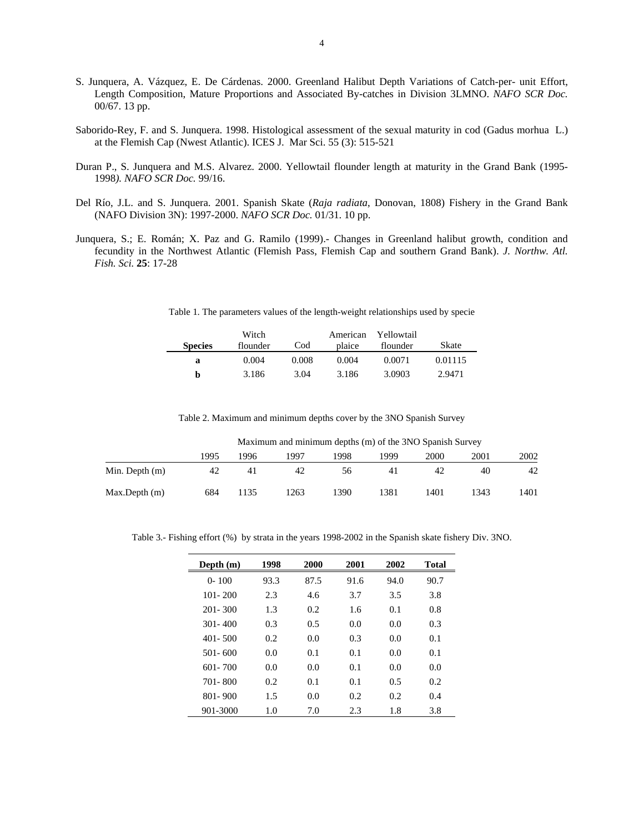- S. Junquera, A. Vázquez, E. De Cárdenas. 2000. Greenland Halibut Depth Variations of Catch-per- unit Effort, Length Composition, Mature Proportions and Associated By-catches in Division 3LMNO. *NAFO SCR Doc.*  00/67. 13 pp.
- Saborido-Rey, F. and S. Junquera. 1998. Histological assessment of the sexual maturity in cod (Gadus morhua L.) at the Flemish Cap (Nwest Atlantic). ICES J. Mar Sci. 55 (3): 515-521
- Duran P., S. Junquera and M.S. Alvarez. 2000. Yellowtail flounder length at maturity in the Grand Bank (1995- 1998*). NAFO SCR Doc.* 99/16.
- Del Río, J.L. and S. Junquera. 2001. Spanish Skate (*Raja radiata*, Donovan, 1808) Fishery in the Grand Bank (NAFO Division 3N): 1997-2000. *NAFO SCR Doc.* 01/31. 10 pp.
- Junquera, S.; E. Román; X. Paz and G. Ramilo (1999).- Changes in Greenland halibut growth, condition and fecundity in the Northwest Atlantic (Flemish Pass, Flemish Cap and southern Grand Bank). *J. Northw. Atl. Fish. Sci.* **25**: 17-28

|                | Witch    |       |        | American Yellowtail |         |
|----------------|----------|-------|--------|---------------------|---------|
| <b>Species</b> | flounder | Cod   | plaice | flounder            | Skate   |
| а              | 0.004    | 0.008 | 0.004  | 0.0071              | 0.01115 |

**b** 3.186 3.04 3.186 3.0903 2.9471

Table 1. The parameters values of the length-weight relationships used by specie

Table 2. Maximum and minimum depths cover by the 3NO Spanish Survey

Maximum and minimum depths (m) of the 3NO Spanish Survey

|                  | 1995 | 1996 | 1997 | 998 | '999 | 2000 | 2001 | 2002 |
|------------------|------|------|------|-----|------|------|------|------|
| Min. Depth $(m)$ | 42   |      | 42   | 56  | 41   | 42   | 40   | 42   |
| Max.Depth(m)     | 684  | 1135 | !263 | 390 | 381  | 1401 | 1343 | 1401 |

Table 3.- Fishing effort (%) by strata in the years 1998-2002 in the Spanish skate fishery Div. 3NO.

| Depth $(m)$ | 1998 | 2000 | 2001 | 2002 | Total |
|-------------|------|------|------|------|-------|
| $0 - 100$   | 93.3 | 87.5 | 91.6 | 94.0 | 90.7  |
| $101 - 200$ | 2.3  | 4.6  | 3.7  | 3.5  | 3.8   |
| $201 - 300$ | 1.3  | 0.2  | 1.6  | 0.1  | 0.8   |
| $301 - 400$ | 0.3  | 0.5  | 0.0  | 0.0  | 0.3   |
| $401 - 500$ | 0.2  | 0.0  | 0.3  | 0.0  | 0.1   |
| $501 - 600$ | 0.0  | 0.1  | 0.1  | 0.0  | 0.1   |
| $601 - 700$ | 0.0  | 0.0  | 0.1  | 0.0  | 0.0   |
| 701-800     | 0.2  | 0.1  | 0.1  | 0.5  | 0.2   |
| $801 - 900$ | 1.5  | 0.0  | 0.2  | 0.2  | 0.4   |
| 901-3000    | 1.0  | 7.0  | 2.3  | 1.8  | 3.8   |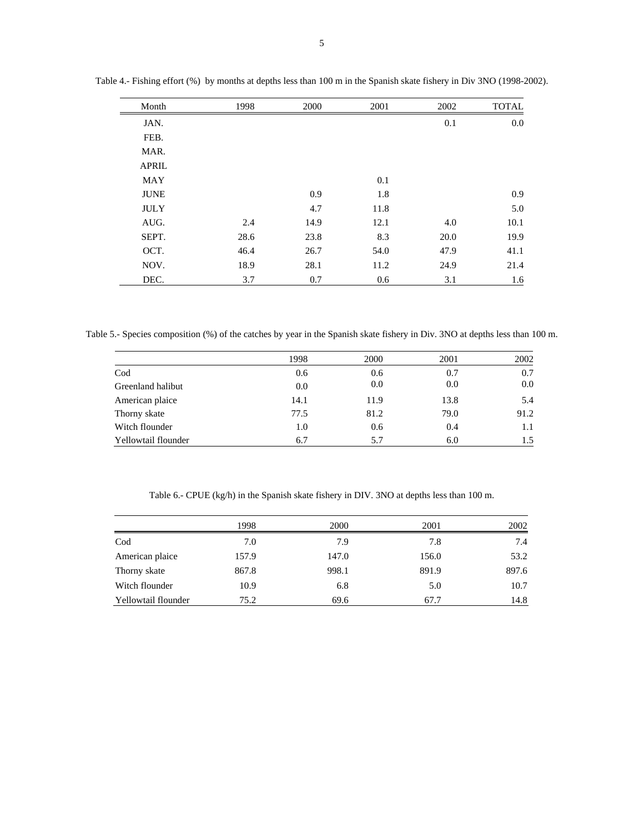| Month        | 1998 | 2000 | 2001 | 2002 | <b>TOTAL</b> |
|--------------|------|------|------|------|--------------|
| JAN.         |      |      |      | 0.1  | 0.0          |
| FEB.         |      |      |      |      |              |
| MAR.         |      |      |      |      |              |
| <b>APRIL</b> |      |      |      |      |              |
| <b>MAY</b>   |      |      | 0.1  |      |              |
| <b>JUNE</b>  |      | 0.9  | 1.8  |      | 0.9          |
| <b>JULY</b>  |      | 4.7  | 11.8 |      | 5.0          |
| AUG.         | 2.4  | 14.9 | 12.1 | 4.0  | 10.1         |
| SEPT.        | 28.6 | 23.8 | 8.3  | 20.0 | 19.9         |
| OCT.         | 46.4 | 26.7 | 54.0 | 47.9 | 41.1         |
| NOV.         | 18.9 | 28.1 | 11.2 | 24.9 | 21.4         |
| DEC.         | 3.7  | 0.7  | 0.6  | 3.1  | 1.6          |

Table 4.- Fishing effort (%) by months at depths less than 100 m in the Spanish skate fishery in Div 3NO (1998-2002).

Table 5.- Species composition (%) of the catches by year in the Spanish skate fishery in Div. 3NO at depths less than 100 m.

|                     | 1998 | 2000 | 2001 | 2002 |
|---------------------|------|------|------|------|
| $\mathrm{Cod}$      | 0.6  | 0.6  | 0.7  | 0.7  |
| Greenland halibut   | 0.0  | 0.0  | 0.0  | 0.0  |
| American plaice     | 14.1 | 11.9 | 13.8 | 5.4  |
| Thorny skate        | 77.5 | 81.2 | 79.0 | 91.2 |
| Witch flounder      | 1.0  | 0.6  | 0.4  | 1.1  |
| Yellowtail flounder | 6.7  | 5.7  | 6.0  | 1.5  |

Table 6.- CPUE (kg/h) in the Spanish skate fishery in DIV. 3NO at depths less than 100 m.

|                     | 1998  | 2000  | 2001  | 2002  |
|---------------------|-------|-------|-------|-------|
| Cod                 | 7.0   | 7.9   | 7.8   | 7.4   |
| American plaice     | 157.9 | 147.0 | 156.0 | 53.2  |
| Thorny skate        | 867.8 | 998.1 | 891.9 | 897.6 |
| Witch flounder      | 10.9  | 6.8   | 5.0   | 10.7  |
| Yellowtail flounder | 75.2  | 69.6  | 67.7  | 14.8  |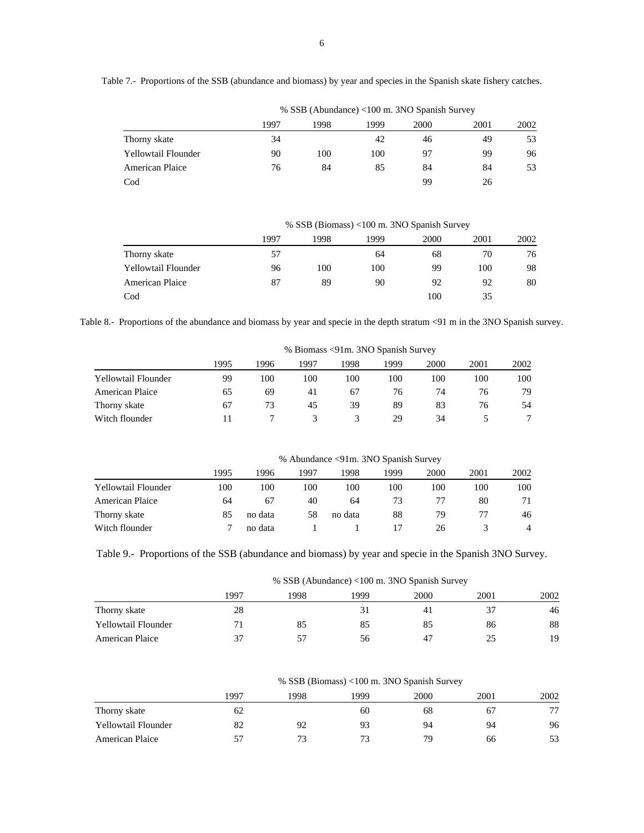| Table 7.- Proportions of the SSB (abundance and biomass) by year and species in the Spanish skate fishery catches. |  |  |  |  |  |  |  |  |
|--------------------------------------------------------------------------------------------------------------------|--|--|--|--|--|--|--|--|
|--------------------------------------------------------------------------------------------------------------------|--|--|--|--|--|--|--|--|

% SSB (Abundance) <100 m. 3NO Spanish Survey

|                        |      |      |      | $\frac{1}{2}$ of $\frac{1}{2}$ of $\frac{1}{2}$ of $\frac{1}{2}$ of $\frac{1}{2}$ of $\frac{1}{2}$ of $\frac{1}{2}$ of $\frac{1}{2}$ of $\frac{1}{2}$ of $\frac{1}{2}$ |      |      |  |
|------------------------|------|------|------|------------------------------------------------------------------------------------------------------------------------------------------------------------------------|------|------|--|
|                        | 1997 | 1998 | 1999 | 2000                                                                                                                                                                   | 2001 | 2002 |  |
| Thorny skate           | 34   |      | 42   | 46                                                                                                                                                                     | 49   | 53   |  |
| Yellowtail Flounder    | 90   | 100  | 100  | 97                                                                                                                                                                     | 99   | 96   |  |
| <b>American Plaice</b> | 76   | 84   | 85   | 84                                                                                                                                                                     | 84   | 53   |  |
| $\mathrm{Cod}$         |      |      |      | 99                                                                                                                                                                     | 26   |      |  |

% SSB (Biomass) <100 m. 3NO Spanish Survey

|                            | 1997 | 1998 | 1999 | 2000 | 2001 | 2002 |
|----------------------------|------|------|------|------|------|------|
| Thorny skate               | 57   |      | 64   | 68   | 70   | 76   |
| <b>Yellowtail Flounder</b> | 96   | 100  | 100  | 99   | 100  | 98   |
| American Plaice            | 87   | 89   | 90   | 92   | 92   | 80   |
| Cod                        |      |      |      | 100  | 35   |      |

Table 8.- Proportions of the abundance and biomass by year and specie in the depth stratum <91 m in the 3NO Spanish survey.

|                        | % Biomass <91m. 3NO Spanish Survey |      |      |      |      |      |      |      |
|------------------------|------------------------------------|------|------|------|------|------|------|------|
|                        | 1995                               | 1996 | 1997 | 1998 | 1999 | 2000 | 2001 | 2002 |
| Yellowtail Flounder    | 99                                 | 100  | 100  | 100  | 100  | 100  | 100  | 100  |
| <b>American Plaice</b> | 65                                 | 69   | 41   | 67   | 76   | 74   | 76   | 79   |
| Thorny skate           | 67                                 | 73   | 45   | 39   | 89   | 83   | 76   | 54   |
| Witch flounder         |                                    |      |      |      | 29   | 34   |      |      |

% Abundance <91m. 3NO Spanish Survey

|                        | 1995 | 1996    | 1997 | 1998    | 1999 | 2000 | 2001 | 2002 |
|------------------------|------|---------|------|---------|------|------|------|------|
| Yellowtail Flounder    | 100  | 100     | 100  | 100     | 100  | 100  | 100  | 100  |
| <b>American Plaice</b> | 64   | 67      | 40   | 64      | 73   |      | 80   | 71   |
| Thorny skate           | 85   | no data | 58   | no data | 88   | 79   |      | 46   |
| Witch flounder         |      | no data |      |         |      | 26   |      | 4    |

Table 9.- Proportions of the SSB (abundance and biomass) by year and specie in the Spanish 3NO Survey.

% SSB (Abundance) <100 m. 3NO Spanish Survey

|                     | 1997         | 998 | 1999 | 2000 | 2001 | 2002 |
|---------------------|--------------|-----|------|------|------|------|
| Thorny skate        | 28           |     |      |      |      | 46   |
| Yellowtail Flounder |              |     | 85   | 85   | 86   | 88   |
| American Plaice     | $\mathbf{v}$ |     | 56   | 47   |      | 19   |

% SSB (Biomass) <100 m. 3NO Spanish Survey

|                            | 1997 | 1998 | 1999 | 2000 | 2001 | 2002 |
|----------------------------|------|------|------|------|------|------|
| Thorny skate               | 62   |      | 60   | 68   | 67   | 77   |
| <b>Yellowtail Flounder</b> | 82   | 92   | 93   | 94   | 94   | 96   |
| American Plaice            |      |      | 73   | 79   | 66   | 53   |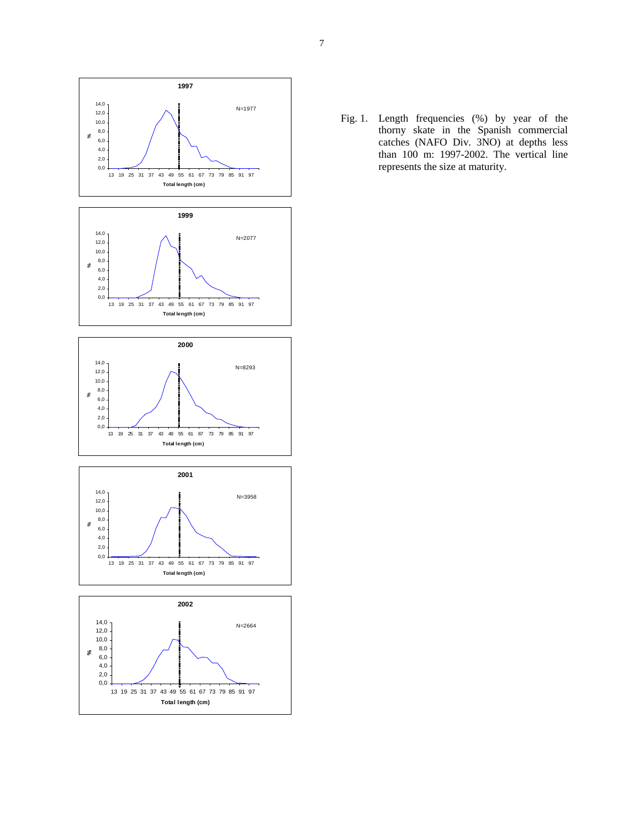

Fig. 1. Length frequencies (%) by year of the thorny skate in the Spanish commercial catches (NAFO Div. 3NO) at depths less than 100 m: 1997-2002. The vertical line represents the size at maturity.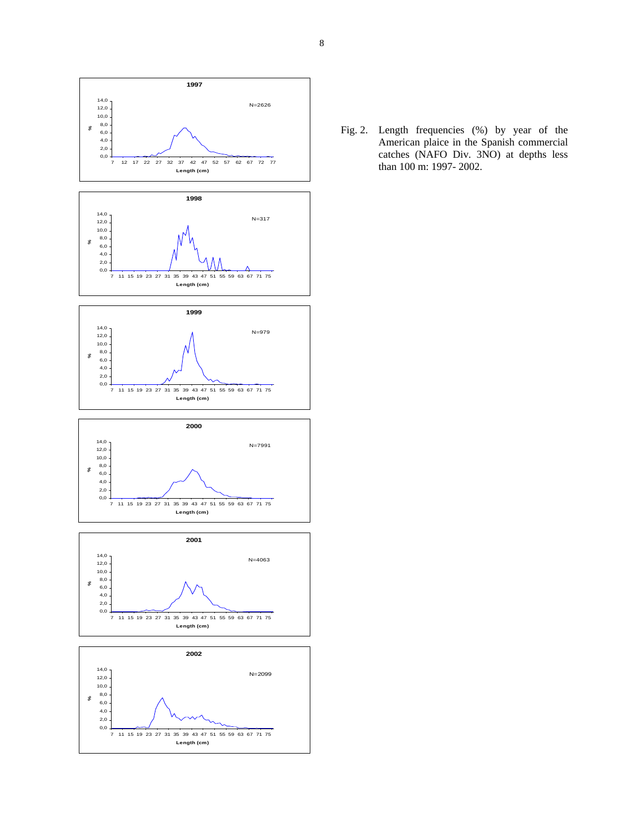

Fig. 2. Length frequencies (%) by year of the American plaice in the Spanish commercial catches (NAFO Div. 3NO) at depths less than 100 m: 1997- 2002.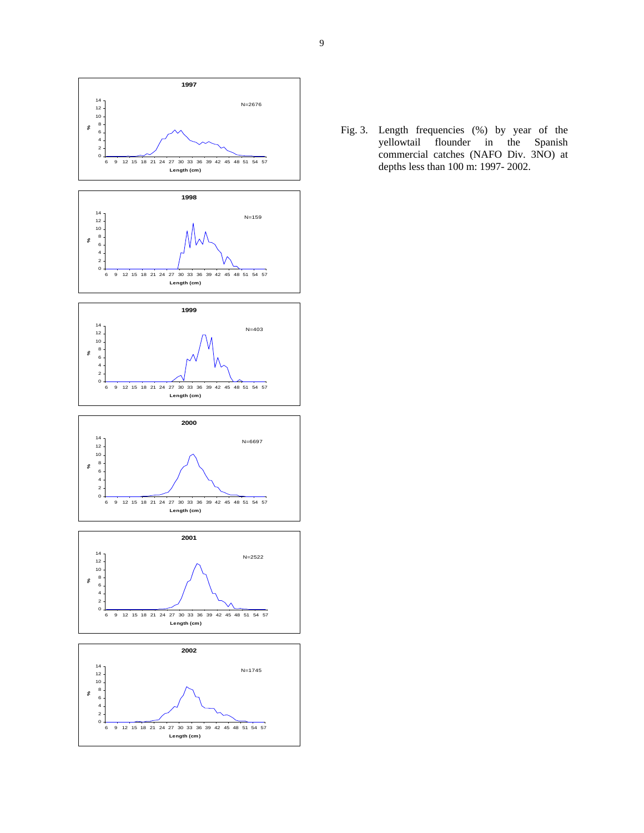

Fig. 3. Length frequencies (%) by year of the yellowtail flounder in the Spanish commercial catches (NAFO Div. 3NO) at depths less than 100 m: 1997- 2002.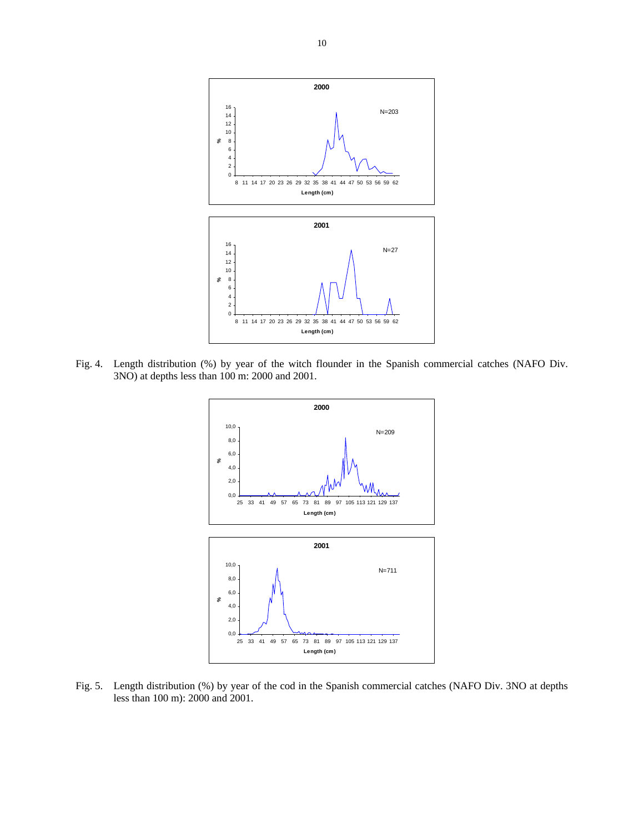

Fig. 4. Length distribution (%) by year of the witch flounder in the Spanish commercial catches (NAFO Div. 3NO) at depths less than 100 m: 2000 and 2001.



Fig. 5. Length distribution (%) by year of the cod in the Spanish commercial catches (NAFO Div. 3NO at depths less than 100 m): 2000 and 2001.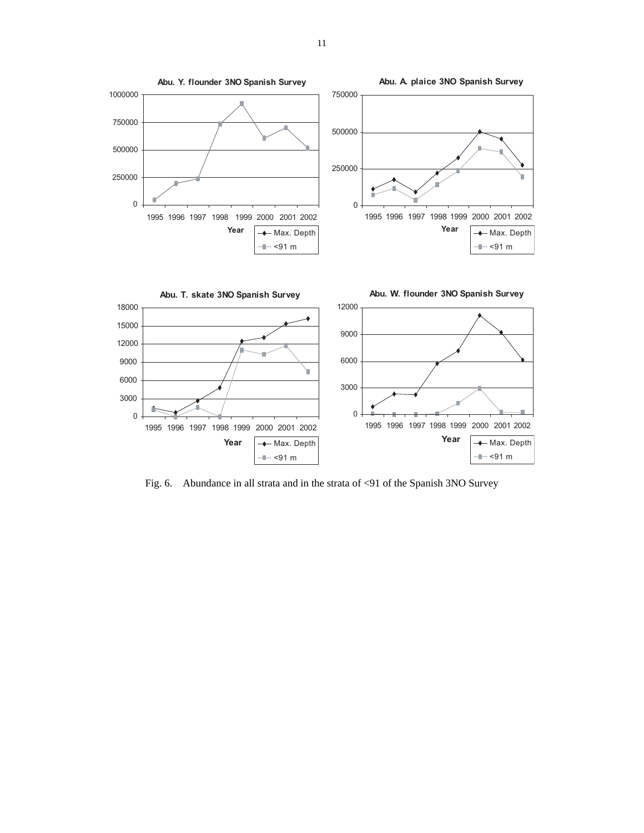

Fig. 6. Abundance in all strata and in the strata of <91 of the Spanish 3NO Survey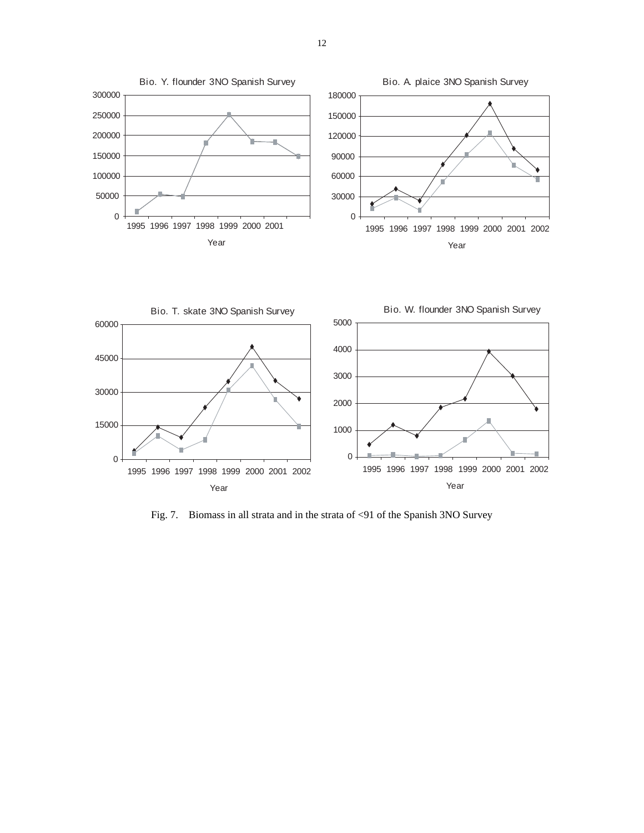



Fig. 7. Biomass in all strata and in the strata of <91 of the Spanish 3NO Survey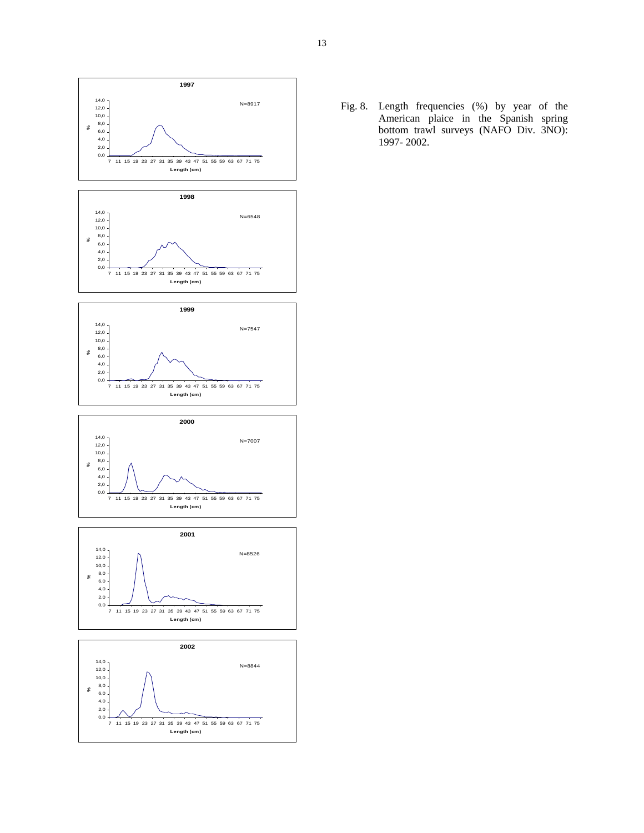

Fig. 8. Length frequencies (%) by year of the American plaice in the Spanish spring bottom trawl surveys (NAFO Div. 3NO): 1997- 2002.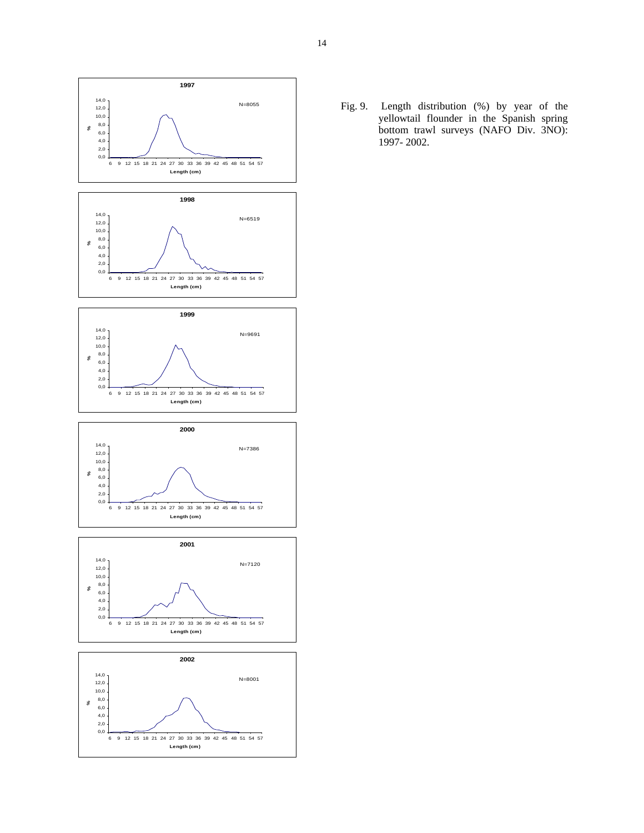

Fig. 9. Length distribution (%) by year of the yellowtail flounder in the Spanish spring bottom trawl surveys (NAFO Div. 3NO): 1997- 2002.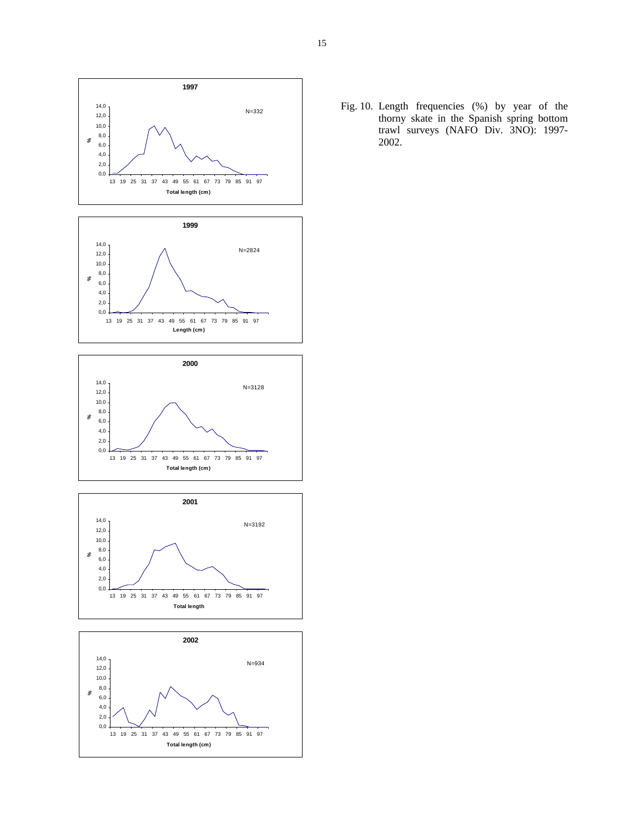

Fig. 10. Length frequencies (%) by year of the thorny skate in the Spanish spring bottom trawl surveys (NAFO Div. 3NO): 1997- 2002.